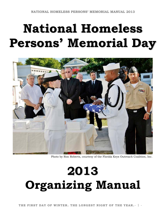# **National Homeless Persons' Memorial Day**



Photo by Ron Roberts, courtesy of the Florida Keys Outreach Coalition, Inc.

# **2013 Organizing Manual**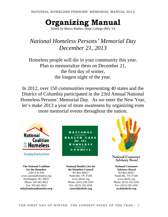# **Organizing Manual**

Edited by Marcy Rudins, Hope College (MI) '14

## *National Homeless Persons' Memorial Day December 21, 2013*

Homeless people will die in your community this year. Plan to memorialize them on December 21, the first day of winter, the longest night of the year.

In 2012, over 150 communities representing 40 states and the District of Columbia participated in the 23rd Annual National Homeless Persons' Memorial Day. As we enter the New Year, let's make 2013 a year of more awareness by organizing even more memorial events throughout the nation.

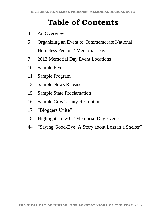# **Table of Contents**

- 4 An Overview
- 5 Organizing an Event to Commemorate National Homeless Persons' Memorial Day
- 7 2012 Memorial Day Event Locations
- 10 Sample Flyer
- 11 Sample Program
- 13 Sample News Release
- 15 Sample State Proclamation
- 16 Sample City/County Resolution
- 17 "Bloggers Unite"
- 18 Highlights of 2012 Memorial Day Events
- 44 "Saying Good-Bye: A Story about Loss in a Shelter"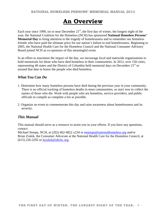# **An Overview**

Each year since 1990, on or near December  $21<sup>st</sup>$ , the first day of winter, the longest night of the year, the National Coalition for the Homeless (NCH) has sponsored **National Homeless Persons' Memorial Day** to bring attention to the tragedy of homelessness and to remember our homeless friends who have paid the ultimate price for our nation's failure to end homelessness. Beginning in 2005, the National Health Care for the Homeless Council and the National Consumer Advisory Board joined NCH as co-sponsors of this meaningful event.

In an effort to maximize the impact of the day, we encourage local and statewide organizations to hold memorials for those who have died homeless in their communities. In 2012, over 150 cities, representing 40 states and the District of Columbia held memorial days on December  $21<sup>st</sup>$  or around that date to honor the people who died homeless.

#### *What You Can Do*

- 1. Determine how many homeless persons have died during the previous year in your community. There is no official tracking of homeless deaths in most communities, so *start now* to collect the names of those who die. Work with people who are homeless, service providers, and public officials to compile as complete a list as possible.
- 2. Organize an event to commemorate this day and raise awareness about homelessness and its severity.

#### *This Manual*

This manual should serve as a resource to assist you in your efforts. If you have any questions, contact:

Michael Stoops, NCH, at (202) 462-4822 x234 or mstoops@nationalhomeless.org and/or Brian Zralek, the Consumer Advocate at the National Health Care for the Homeless Council, at (615) 226-2292 or bzralek@nhchc.org.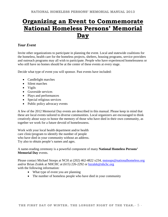# **Organizing an Event to Commemorate National Homeless Persons' Memorial Day**

#### *Your Event*

Invite other organizations to participate in planning the event. Local and statewide coalitions for the homeless, health care for the homeless projects, shelters, housing programs, service providers and outreach programs may all wish to participate. People who have experienced homelessness or who still have no homes should be at the center of these events at every stage.

Decide what type of event you will sponsor. Past events have included:

- Candlelight marches
- Silent marches
- Vigils
- Graveside services
- Plays and performances
- Special religious services
- Public policy advocacy events

A few of the 2012 Memorial Day events are described in this manual. Please keep in mind that these are local events tailored to diverse communities. Local organizers are encouraged to think creatively about ways to honor the memory of those who have died in their own community, as together we work for a future devoid of homelessness.

Work with your local health department and/or health care clinic/program to identify the number of people who have died in your community without an address. Try also to obtain people's names and ages.

A name-reading ceremony is a powerful component of many **National Homeless Persons' Memorial Day** events.

Please contact Michael Stoops at NCH at (202) 462-4822 x234, mstoops@nationalhomeless.org and/or Brian Zralek at NHCHC at (615) 226-2292 or bzralek@nhchc.org with the following information:

- What type of event you are planning
- The number of homeless people who have died in your community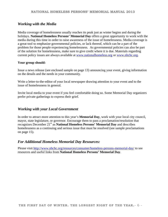#### *Working with the Media*

Media coverage of homelessness usually reaches its peak just as winter begins and during the holidays. **National Homeless Persons' Memorial Day** offers a great opportunity to work with the media during this time in order to raise awareness of the issue of homelessness. Media coverage is a great tool to emphasize governmental policies, or lack thereof, which can be a part of the problem for those people experiencing homelessness. As governmental policies can also be part of the solution for homelessness, make sure to give credit where it is due. Materials regarding current policy issues are always available at www.nationalhomeless.org or www.nhchc.org.

#### **Your group should:**

Issue a news release (see enclosed sample on page 13) announcing your event, giving information on the details and the needs in your community.

Write a letter-to-the-editor of your local newspaper drawing attention to your event and to the issue of homelessness in general.

Invite local media to your event if you feel comfortable doing so. Some Memorial Day organizers prefer private gatherings to express their grief.

#### *Working with your Local Government*

In order to attract more attention to this year's **Memorial Day**, work with your local city council, mayor, state legislature, or governor. Encourage them to pass a proclamation/resolution that recognizes December 21<sup>st</sup> as **National Homeless Persons' Memorial Day** and describes homelessness as a continuing and serious issue that must be resolved (see sample proclamations on page 15).

#### *For Additional Homeless Memorial Day Resources:*

Please visit http://www.nhchc.org/resources/consumer/homeless-persons-memorial-day/ to see resources and useful links from **National Homeless Persons' Memorial Day**.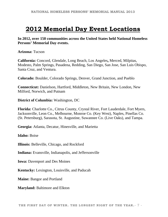# **2012 Memorial Day Event Locations**

**In 2012, over 150 communities across the United States held National Homeless Persons' Memorial Day events.** 

**Arizona:** Tucson

**California:** Concord, Glendale, Long Beach, Los Angeles**,** Merced, Milpitas, Modesto, Palm Springs, Pasadena, Redding, San Diego, San Jose, San Luis Obispo, Santa Cruz, and Ventura.

**Colorado:** Boulder, Colorado Springs, Denver, Grand Junction, and Pueblo

**Connecticut:** Danielson, Hartford, Middleton, New Britain, New London, New Milford, Norwich, and Putnam

**District of Columbia:** Washington, DC

**Florida:** Charlotte Co., Citrus County, Crystal River, Fort Lauderdale, Fort Myers, Jacksonville, Leon Co., Melbourne, Monroe Co. (Key West), Naples, Pinellas Co. (St. Petersburg), Sarasota, St. Augustine, Suwannee Co. (Live Oaks), and Tampa.

**Georgia:** Atlanta, Decatur, Hinesville, and Marietta

**Idaho:** Boise

**Illinois:** Belleville, Chicago, and Rockford

**Indiana:** Evansville, Indianapolis, and Jeffersonville

**Iowa:** Davenport and Des Moines

**Kentucky:** Lexington, Louisville, and Paducah

**Maine:** Bangor and Portland

**Maryland:** Baltimore and Elkton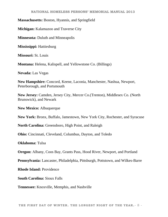#### **NATIONAL HOMELESS PERSONS' MEMORIAL MANUAL 2013**

#### **Massachusetts:** Boston, Hyannis, and Springfield

**Michigan:** Kalamazoo and Traverse City

**Minnesota:** Duluth and Minneapolis

**Mississippi:** Hattiesburg

**Missouri:** St. Louis

**Montana:** Helena, Kalispell, and Yellowstone Co. (Billings)

**Nevada:** Las Vegas

**New Hampshire:** Concord, Keene, Laconia, Manchester, Nashua, Newport, Peterborough, and Portsmouth

**New Jersey:** Camden, Jersey City, Mercer Co.(Trenton), Middlesex Co. (North Brunswick), and Newark

**New Mexico:** Albuquerque

**New York:** Bronx, Buffalo, Jamestown, New York City, Rochester, and Syracuse

**North Carolina:** Greensboro, High Point, and Raleigh

**Ohio:** Cincinnati, Cleveland, Columbus, Dayton, and Toledo

**Oklahoma:** Tulsa

**Oregon:** Albany, Coos Bay, Grants Pass, Hood River, Newport, and Portland

**Pennsylvania:** Lancaster, Philadelphia, Pittsburgh, Pottstown, and Wilkes-Barre

**Rhode Island:** Providence

**South Carolina:** Sioux Falls

**Tennessee:** Knoxville, Memphis, and Nashville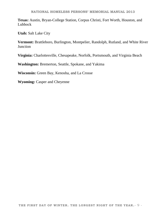**Texas:** Austin, Bryan-College Station, Corpus Christi, Fort Worth, Houston, and Lubbock

**Utah:** Salt Lake City

**Vermont:** Brattleboro, Burlington, Montpelier, Randolph, Rutland, and White River Junction

**Virginia:** Charlottesville, Chesapeake, Norfolk, Portsmouth, and Virginia Beach

**Washington:** Bremerton, Seattle, Spokane, and Yakima

**Wisconsin:** Green Bay, Kenosha, and La Crosse

**Wyoming:** Casper and Cheyenne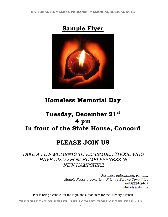



# **Homeless Memorial Day**

# **Tuesday, December 21st 4 pm In front of the State House, Concord**

## **PLEASE JOIN US**

*TAKE A FEW MOMENTS TO REMEMBER THOSE WHO HAVE DIED FROM HOMELESSNESS IN NEW HAMPSHIRE*

> *For more information, contact: Maggie Fogarty, American Friends Service Committee (603)224-2407*  mfogarty@afsc.org

Please bring a candle, for the vigil, and a food item for the Friendly Kitchen

**THE FIRST DAY OF WINTER. THE LONGEST NIGHT OF THE YEAR.**- 10 -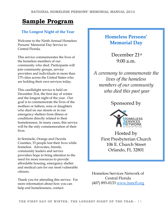# **Sample Program**

#### **The Longest Night of the Year**

Welcome to the Ninth Annual Homeless Persons' Memorial Day Service in Central Florida.

This service commemorates the lives of the homeless members of our community who died. Participants will join community groups, service providers and individuals in more than 175 cities across the United States who are holding their own services today.

This candlelight service is held on December 21st, the first day of winter and the longest night of the year. Our goal is to commemorate the lives of the mothers or fathers, sons or daughters who died on our streets or in our emergency shelters from illness or conditions directly related to their homelessness. In many cases, this service will be the only commemoration of their lives.

In Seminole, Orange and Osceola Counties, 33 people lost their lives while homeless. Advocates, friends, community leaders and service providers hope to bring attention to the need for more resources to provide affordable housing, emergency shelter and medical care for our most vulnerable citizens.

Thank you for attending this service. For more information about how you can help end homelessness, contact:

### **Homeless Persons' Memorial Day**

 December 21st  $9:00 a.m.$ 

*A ceremony to commemorate the lives of the homeless members of our community who died this past year* 

### Sponsored by



Hosted by First Presbyterian Church 106 E. Church Street Orlando, FL 32801

Homeless Services Network of Central Florida (407) 893-0133 www.hsncfl.org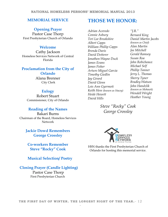#### **NATIONAL HOMELESS PERSONS' MEMORIAL MANUAL 2013**

### **MEMORIAL SERVICE**

#### **Opening Prayer**

Pastor Case Thorp First Presbyterian Church of Orlando

#### **Welcome**

Cathy Jackson Homeless Services Network of Central Florida

#### **Proclamation from the City of Orlando**

Alana Brenner City Clerk

#### **Eulogy**

Robert Stuart Commissioner, City of Orlando

#### **Reading of the Names**

Bakari Burns Chairman of the Board, Homeless Services Network

> **Jackie Dowd Remembers George Crossley**

**Co-workers Remember Steve "Rocky" Cook** 

 **Musical Selection/ Poetry** 

 **Closing Prayer (Candle Lighting)** 

Pastor Case Thorp First Presbyterian Church

### **THOSE WE HONOR:**

*Adrian Acevedo Connie Asbury Teri Lee Brookshire Albert Capps William Phillip Capps Brenda Davis David Dotterer Jonathon Wayne Duck James Evans James Fisher Arturo Miguel Garcia Timothy Giedlin Jay Girard David Glenn Lois Ann Gyermoti Keith Hess (known as Stacey) Heide Hewett David Hills* 

*"J.R." Bernard King Daniel Martin Jacobs (known as Chief) Alan Martin Joe Mitchell Gerald Ramsey Susan Roa John Robicheaux Michael Self Phillip Tanner Jerry L. Thomas Sherry Tyner Bradley Watson John Handzlik (known as Mohawk) Wendell Wright Heather Young* 

*Steve "Rocky" Cook George Crossley* 



HSN thanks the First Presbyterian Church of Orlando for hosting this memorial service.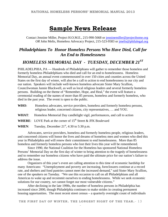### **Sample News Release**

Contact Jennine Miller, Project H.O.M.E., 215-990-5668 or jenninemiller@projecthome.org *OR* John Melis, Homeless Advocacy Project, 215-523-9583 or jmelis@philalegal.org

### *Philadelphians To Honor Homeless Persons Who Have Died, Call for An End to Homelessness*

### *HOMELESS MEMORIAL DAY - TUESDAY, DECEMBER 21ST*

PHILADELPHIA, PA — Hundreds of Philadelphians will gather to remember those homeless and formerly homeless Philadelphians who died and call for an end to homelessness. Homeless Memorial Day, an annual event commemorated in over 150 cities and counties across the United States on the first day of winter, will also be a call to action to end homelessness in our city and our nation. Speakers will include well-known homeless advocate Sister Mary Scullion, Councilwoman Jannie Blackwell, as well as local religious leaders and several formerly homeless persons. Building on the theme of "Remember, Hope, and Heal," the event will feature a ceremonial reading of the names of more than 85 persons, homeless and formerly homeless, who died in the past year. The event is open to the public.

- WHO: Homeless advocates, service providers, homeless and formerly homeless persons, religious leader, concerned citizens, city representatives, … and YOU.
- **WHAT**: Homeless Memorial Day candlelight vigil, performances, and call to action
- **WHERE:** LOVE Park at the corner of 15<sup>th</sup> Street & JFK Boulevard

**WHEN:** Tuesday, December  $21<sup>st</sup>$ ,  $4:30$  to  $5:30$  p.m.

Advocates, service providers, homeless and formerly homeless people, religious leaders, and concerned citizens will honor the lives and dreams of homeless men and women who died this year in Philadelphia and will renew their commitment to end homelessness. More than 85 homeless and formerly homeless persons who lost their lives this year will be remembered.

Since 1990, the National Coalition for the Homeless has sponsored National Homeless Persons' Memorial Day on the first day of winter to bring attention to the tragedy of homelessness and to remember our homeless citizens who have paid the ultimate price for our nation's failure to address the issue.

Organizers of this year's event are calling attention to this time of economic hardship for many Americans: "Unemployment and poverty are increasing, foreclosures continue at a record rate, and shelters and food pantries cannot meet the increased demand," said Sister Mary Scullion, one of the speakers on Tuesday. "We use this occasion to call on all Philadelphians and all Americas to wake up and recommit ourselves to ending homelessness. While we seek economic solutions for our country, we cannot forget our most vulnerable citizens."

After declining in the late 1990s, the number of homeless persons in Philadelphia has increased since 2000, though Philadelphia continues to make strides in creating permanent housing opportunities. The most recent street census – a quarterly overnight count of individuals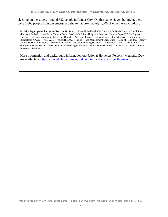sleeping on the streets – found 352 people in Center City. On that same November night, there were 2,600 people living in emergency shelter, approximately 1,000 of whom were children.

**Participating organizations (As of Dec. 10, 2010):** Arch Street United Methodist Church – Bethesda Project – Broad Street Ministry – Catholic Health East– Catholic Social Services/St. John's Hospice – Covenant House – Depaul USA – Dignity Housing – Episcopal Community Services – Homeless Advocacy Project – Horizon House – Impact Services Corporation – Philadelphia NAACP – PRO-ACT – Project H.O.M.E – Public Health Management Corporation – Raise of Hope, Inc. – Ready, Willing & Able Philadelphia – Resources for Human Development/Ridge Center – The Salvation Army – Tenant Union Representative Network (TURN) – Universal Knowledge Unlimited – The Welcome Church – The Welcome Center – Youth Emergency Services

More information and background information on National Homeless Persons' Memorial Day are available at http://www.nhchc.org/memorialday.html and www.projecthome.org.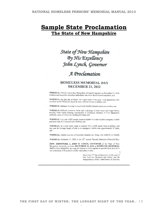### **Sample State Proclamation The State of New Hampshire**

# State of New Hampshire By His Excellency<br>John Lynch, Governor

### A Proclamation

#### **HOMELESS MEMORIAL DAY DECEMBER 21, 2012**

WHEREAS, Citizens across New Hampshire will gather together on December 21, 2012 to honor and remember homeless individuals who have died in New Hampshire; and

WHEREAS, The first day of winter, the kingest night of the year, is an appropriate time to reflect on the difficulties faced by those without a horae or shelter; and

WHEREAS, Adequate housing is essential for healthy families and contemptities; and

WHEREAS. Difficult economic times and a shortage of both rental and single-family housing stock makes housing inaccessible to increasing numbers of New Hampshire residents, many of whom are working full-time; and

WHEREAS, Last year 4.825 people received shelter in a state funded emergency shelter and more than 17.5 percent were children; and

WHEREAS, On a celd winter night in January 2011, 2.438 beople were in shelters, and last year the average length of stay in an emergency shelter was approximately 6! days; and

WIJEREAS, Untold numbers of homeless families are living with relatives or triends;

WHEREAS, December 21, 2012 is the 22<sup>ter</sup> annual National Homeless Memorial Day;

NOW, THEREFORE, I, JOHN H. LYNCH, GOVERNOR of the State of New Hampshire, do hereby proclaim DECEMBER 21, 2012 as HOMELESS MEMORIAL DAY in New Hampshire, and urge all citizens to work together to provide those in need in our community with access to a safe, warm place to stay. ĕ,

> Given this  $21<sup>th</sup>$  day of December, in the year of Our Lord two thousand and twelve, and the independence of the United States of America,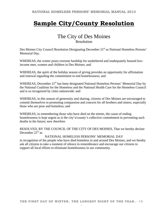# **Sample City/County Resolution**

### The City of Des Moines Resolution

Des Moines City Council Resolution Designating December 21<sup>st</sup> as National Homeless Persons' Memorial Day.

WHEREAS, the winter poses extreme hardship for unsheltered and inadequately housed lowincome men, women and children in Des Moines; and

WHEREAS, the spirit of the holiday season of giving provides an opportunity for affirmation and renewal regarding the commitment to end homelessness; and

WHEREAS, December 21<sup>st</sup> has been designated National Homeless Persons' Memorial Day by the National Coalition for the Homeless and the National Health Care for the Homeless Council and is so recognized by cities nationwide: and

WHEREAS, in this season of generosity and sharing, citizens of Des Moines are encouraged to commit themselves to promoting compassion and concern for all brothers and sisters, especially those who are poor and homeless; and

WHEREAS, in remembering those who have died on the streets, the cause of ending homelessness is kept urgent as is the city's/county's collective commitment to preventing such deaths in the future; now therefore

RESOLVED, BY THE COUNCIL OF THE CITY OF DES MOINES, That we hereby declare December  $21<sup>st</sup>$  as

#### NATIONAL HOMELESS PERSONS' MEMORIAL DAY

in recognition of the people who have died homeless in and around Des Moines, and we hereby ask all citizens to take a moment of silence in remembrance and encourage our citizens to support all local efforts to eliminate homelessness in our community.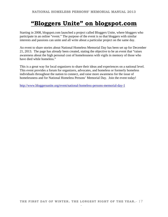## **"Bloggers Unite" on blogspot.com**

Starting in 2008, blogspot.com launched a project called Bloggers Unite, where bloggers who participate in an online "event." The purpose of the event is so that bloggers with similar interests and passions can unite and all write about a particular project on the same day.

An event to share stories about National Homeless Memorial Day has been set up for December 21, 2013. The page has already been created, stating the objective to be an event that "raises awareness about the high personal cost of homelessness with vigils in memory of those who have died while homeless."

This is a great way for local organizers to share their ideas and experiences on a national level. This event provides a forum for organizers, advocates, and homeless or formerly homeless individuals throughout the nation to connect, and raise more awareness for the issue of homelessness and for National Homeless Persons' Memorial Day. Join the event today!

http://www.bloggersunite.org/event/national-homeless-persons-memorial-day-1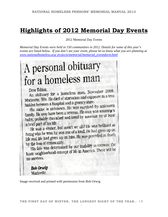## **Highlights of 2012 Memorial Day Events**

2012 Memorial Day Events

*Memorial Day Events were held in 150 communities in 2012. Details for some of this year's events are listed below. If you don't see your event, please let us know what you are planning at www.nationalhomeless.org/ projects/memorial/memorial\_eventsform.html* 

# A personal obituary for a homeless man

Dear Editor, Dear Editor,<br>An obituary for a homeless man. November 2008. An obituary for a noncless main exposure in a tent<br>Marinette, Wis. He died of starvation and exposure in a tent hidden between a hospital and a grocery store.

His name is unknown. He was survived by unknown<br>His name is unknown. He was survived by unknown His name is unknown. He was been to the was someone's<br>family. He may have been a veteran. He once was someone's family. He may have been a veterant rice once for at least<br>baby, probably cherished and loved by someone for at least a brief part of his life.

The was a sinner, but aren't we all? He was brilliant at<br>He was a sinner, but aren't we all? He had eiven up on He was a sinner, but aren't we can no meet the had given up on<br>heing who he was; he was one of a kind. He had given up on heing who he was; he was one or a mile. He was preceded in death<br>life and life had given up on him. He was preceded in death by the loss of community.

the loss of community.<br>His fate was determined by our inability to recreate the His fate was determined by our manner of the There will be<br>basic neighborhood concept of life in America. There will be no services.

**Bob Orwig** Marinette

Image received and printed with permission from Bob Orwig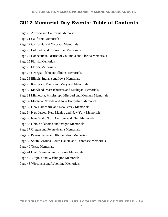### **2012 Memorial Day Events: Table of Contents**

- Page 20 Arizona and California Memorials
- Page 21 California Memorials
- Page 22 California and Colorado Memorials
- Page 23 Colorado and Connecticut Memorials
- Page 24 Connecticut, District of Columbia and Florida Memorials
- Page 25 Florida Memorials
- Page 26 Florida Memorials
- Page 27 Georgia, Idaho and Illinois Memorials
- Page 28 Illinois, Indiana and Iowa Memorials
- Page 29 Kentucky, Maine and Maryland Memorials
- Page 30 Maryland, Massachusetts and Michigan Memorials
- Page 31 Minnesota, Mississippi, Missouri and Montana Memorials
- Page 32 Montana, Nevada and New Hampshire Memorials
- Page 33 New Hampshire and New Jersey Memorials
- Page 34 New Jersey, New Mexico and New York Memorials
- Page 35 New York, North Carolina and Ohio Memorials
- Page 36 Ohio, Oklahoma and Oregon Memorials
- Page 37 Oregon and Pennsylvania Memorials
- Page 38 Pennsylvania and Rhode Island Memorials
- Page 39 South Carolina, South Dakota and Tennessee Memorials
- Page 40 Texas Memorials
- Page 41 Utah, Vermont and Virginia Memorials
- Page 42 Virginia and Washington Memorials
- Page 43 Wisconsin and Wyoming Memorials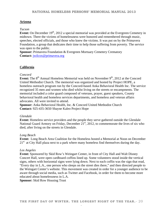#### **Arizona**

#### *Tucson*

**Event:** On December 19<sup>th</sup>, 2012 a special memorial was provided at the Evergreen Cemetery in midtown. There the victims of homelessness were honored and remembered through music, speeches, elected officials, and those who knew the victims. It was put on by the Primavera Foundation, a group that dedicates their time to help those suffering from poverty. The service was open to the public.

**Sponsor: Primavera Foundation & Evergreen Mortuary Cemetery Crematory Contact:** jwilcox@primavera.org

#### **California**

#### *Concord*

**Event:** The 8<sup>th</sup> Annual Homeless Memorial was held on November 9<sup>th</sup>, 2012 at the Concord United Methodist Church. The memorial was organized and hosted by Project HOPE, a homeless outreach program run by the Concord-based Anka Behavioral Health Inc. The service recognized 35 men and women who died whilst living on the streets or encampments. The memorial included a color guard composed of veterans, prayer, guest speakers, County behavioral health and homeless services departments, and homeless and veteran affairs advocates. All were invited to attend.

**Sponsor:** Anka Behavioral Health, Inc. & Concord United Methodist Church **Contact:** 925-435-3650 Shayne Kaleo Project Hope

#### *Glendale*

**Event:** Homeless service providers and the people they serve gathered outside the Glendale National Guard Armory on Friday, December  $21<sup>st</sup>$ , 2012, to commemorate the lives of six who died, after living on the streets in Glendale.

#### *Long Beach*

**Event:** Long Beach Area Coalition for the Homeless hosted a Memorial at Noon on December  $21<sup>st</sup>$  at City Hall plaza next to a park where many homeless find themselves during the day.

#### *Los Angeles*

**Event:** Sponsored by Skid Row's Weingart Center, in front of City Hall and Walt Disney Concert Hall, were open cardboard coffins lined up. Some volunteers stood inside the vertical signs, others with horizontal signs were lying down. Next to each coffin was the sign that read, "Every day in L.A., one person who sleeps on the street dies there," and then directed people to the Weingart Center's website. This movement was created in order for a younger audience to be aware through social media, such as Twitter and Facebook, in order for them to become more educated about homelessness in L.A.

**Sponsor:** Skid Row Housing Trust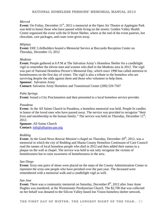#### *Merced*

**Event:** On Friday, December 21<sup>st</sup>, 2012 a memorial at the Open Air Theatre at Applegate Park was held to honor those who have passed while living on the streets. Golden Valley Health Center organized the event with the D Street Shelter, where at the end of the event pastries, hot chocolate, care packages, and coats were given away.

#### *Milpitas*

**Event:** EHC LifeBuilders hosted a Memorial Service at Boccardo Reception Center on Thursday, December 13, 2012

#### *Modesto*

**Event:** People gathered at 6 P.M at The Salvation Army's Homeless Shelter for a candlelight vigil to remember the eleven men and women who died in the Modesto area in 2012. The vigil was part of National Homeless Person's Memorial Day, which since 1990 has called attention to homelessness on the first day of winter. The vigil is also a tribute to the homeless who are surviving despite the odds against them and those who volunteer to help them. **Sponsor:** Salvation Army

**Contact:** Salvation Army Homeless and Transitional Center (209) 529-7507

#### *Palm Springs*

**Event:** Issued a City Proclamation and then presented to a local homeless service provider.

#### *Pasadena*

**Event:** At the All Saints Church in Pasadena, a homeless memorial was held. People lit candles in honor of the loved ones who have passed away. The service was provided to recognize "their lives and membership in the human family." The service was held on Thursday, December  $11<sup>th</sup>$ , 2012.

**Sponsor:** All Saints Church **Contact:** info@allsaints-pas.org

#### *Redding*

**Event:** At the Good News Rescue Mission's chapel on Thursday, December 20<sup>th</sup>, 2012, was a memorial in which the city of Redding and Shasta County Homeless Continuum of Care Council read the names of local homeless people who died in 2012 and then added their names to a plaque on the wall at chapel. The service was held to not only recognize the victims of homelessness but to raise awareness of homelessness in the area.

#### *San Diego*

**Event:** Sixty-one pairs of shoes were placed on the steps of the County Administration Center to represent the sixty-one people who have perished over the past year. The deceased were remembered with a memorial walk and a candlelight vigil as well.

#### *San Jose*

**Event:** There was a community memorial on Saturday, December 8<sup>th</sup>, 2012 after Joan Anne Hughes was murdered, at the Westminster Presbyterian Church. The \$2,700 that was collected on her behalf was donated to the Silicon Valley-based Inn Vision homeless shelter network.

**THE FIRST DAY OF WINTER. THE LONGEST NIGHT OF THE YEAR.**- 21 -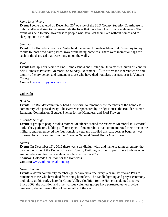#### *Santa Luis Obispo*

**Event:** People gathered on December 20<sup>th</sup> outside of the SLO County Superior Courthouse to light candles and sing to commemorate the lives that have been lost from homelessness. The event was held to raise awareness to people who have lost their lives without homes and to sleeping out in the cold.

#### *Santa Cruz*

**Event:** The Homeless Services Center held the annual Homeless Memorial Ceremony to pay tribute to those who have passed away while being homeless. There were memorial flags for each of the deceased that were hung up on the walls.

#### *Ventura*

**Event:** Lift Up Your Voice to End Homelessness and Unitarian Universalist Church of Ventura held Homeless Persons' Memorial on Sunday, December 16<sup>th</sup>, to affirm the inherent worth and dignity of every person and remember those who have died homeless this past year in Ventura County.

**Contact:** www.liftupyourvoice.org

#### **Colorado**

#### *Boulder*

**Event:** The Boulder community held a memorial to remember the members of the homeless community who passed away. The event was sponsored by Bridge House, the Boulder Human Relations Commission, Boulder Shelter for the Homeless, and Fiori Flowers.

#### *Colorado Springs*

**Event:** A group of people took a moment of silence around the Veterans Memorial in Memorial Park. They gathered, holding different types of memorabilia that commemorated their time in the military, and remembered the four homeless veterans that died this past year. A bagpiper was followed by a rifle salute from the Colorado National Guard Honor Guard Team.

#### *Denver*

**Event:** On December 19<sup>th</sup>, 2012 there was a candlelight vigil and name-reading ceremony that was held outside of the Denver City and Country Building in order to pay tribute to those who are homeless and for the homeless people who died in 2012. **Sponsor:** Colorado Coalition for the Homeless

**Contact:** www.coloradocoalition.org

#### *Grand Junction*

**Event:** A dozen community members gather around a tree every year in Hawthorne Park to remember those who have died from being homeless. The candle lighting and prayer ceremony took place at this park where the Grand Valley Coalition for the Homeless planted this tree. Since 2008, the coalition and other various volunteer groups have partnered up to provide temporary shelter during the coldest months of the year.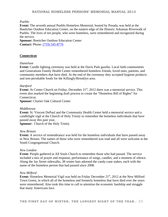#### *Pueblo*

**Event:** The seventh annual Pueblo Homeless Memorial, hosted by Posada, was held at the Boettcher Outdoor Education Center, on the eastern edge of the Historic Arkansas Riverwalk of Pueblo. The lives of ten people, who were homeless, were remembered and recognized during the service.

**Sponsor:** Boettcher Outdoor Education Center **Contact:** Phone: (719) 545-8776

#### **Connecticut**

#### *Danielson*

**Event:** Candle lighting ceremony was held at the Davis Park gazebo. Local faith communities and Generations Family Health Center remembered homeless friends, loved ones, patients, and community members that have died. At the end of the ceremony they accepted hygiene products and non-perishable foods for the Killingly/Brooklyn area.

#### *Hartford*

**Event:** At Center Church on Friday, December 21<sup>st</sup>, 2012 there was a memorial service. This event also marked the beginning draft process to create the "Homeless Bill of Rights" for Connecticut.

**Sponsor:** Charter Oak Cultural Center

#### *Middletown*

**Event:** St. Vincent DePaul and the Community Health Center held a memorial service and a candlelight vigil at the Church of Holy Trinity to remember the homeless individuals that have passed away this past year,

**Sponsor:** Church of the Holy Trinity

#### *New Britain*

**Event:** A service of remembrance was held for the homeless individuals that have passed away in New Britain. The names of those who were remembered was read and all were welcome at the South Congregational Church.

#### *New London*

**Event:** People gathered at All Souls Church to remember those who had passed. The service included a mix of prayer and response, performance of songs, candles, and a moment of silence. Along the Jay Street sidewalks, 38 winter hats adorned the candy-cane stakes, each with the name of the homeless person that had passed since 2008.

#### *New Milford*

**Event:** Homeless Memorial Vigil was held on Friday December 21<sup>st</sup>, 2012 at the New Milford Town Green, in which all of the homeless and formerly homeless that have died over the years were remembered. Also took this time to call to attention the economic hardship and struggle that many Americans face.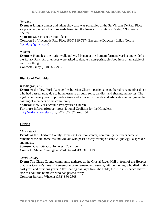#### *Norwich*

**Event:** A lasagna dinner and talent showcase was scheduled at the St. Vincent De Paul Place soup kitchen, in which all proceeds benefited the Norwich Hospitality Center, "No Freeze Shelter."

**Sponsor:** St. Vincent de Paul Place

**Contact:** St. Vincent de Paul Place (860) 889-7374 Executive Director - Jillian Corbin (jcsvdpp@gmail.com)

#### *Putnam*

**Event:** A Homeless memorial walk and vigil began at the Putnam farmers Market and ended at the Rotary Park. All attendees were asked to donate a non-perishable food item or an article of warm clothing.

**Contact:** Cindy (860) 963-7917

#### **District of Columbia**

#### *Washington, DC*

**Event:** At the New York Avenue Presbyterian Church, participants gathered to remember those who had passed away due to homelessness through song, candles, and sharing memories. The vigil is held every year to provide a time and a place for friends and advocates, to recognize the passing of members of the community.

**Sponsor:** New York Avenue Presbyterian Church **For more information contact:** National Coalition for the Homeless, info@nationalhomeless.org, 202-462-4822 ext. 234

#### **Florida**

#### *Charlotte Co.*

**Event:** At the Charlotte County Homeless Coalition center, community members came to remember the six homeless individuals who passed away through a candlelight vigil, a speaker, and music.

**Sponsor:** Charlotte Co. Homeless Coalition **Contact:** Alicia Cunningham (941) 627-4313 EXT. 119

#### *Citrus County*

**Event:** The Citrus County community gathered at the Crystal River Mall in front of the Hospice of Citrus County's Tree of Remembrance to remember person's, without homes, who died in this past year, and previous years. After sharing passages from the Bible, those in attendance shared stories about the homeless who had passed away. **Contact:** Barbara Wheeler (352) 860-2308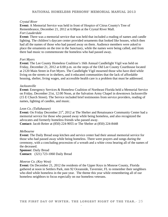#### *Crystal River*

**Event:** A Memorial Service was held in front of Hospice of Citrus County's Tree of Remembrance, December 21, 2012 at 6:00pm at the Crystal River Mall. *Fort Lauderdale* 

**Event:** There was a memorial service that was held that included a reading of names and candle lighting. The children's daycare center provided ornaments that looked like houses, which then had all the names of those who had passed away on them. Audience members were asked to place the ornaments on the tree in the Sanctuary, while the names were being called, and from there had music to commemorate the homeless who had passed away.

#### *Fort Myers*

**Event:** The Lee County Homeless Coalition's 16th Annual Candlelight Vigil was held on Friday, December 21, 2012 at 6:00 p.m. on the steps of the Old Lee County Courthouse located at 2120 Main Street in Fort Myers. The Candlelight Vigil mourned those who have died while living on the streets or in shelters, and it educated communities that the lack of affordable housing, shelter, living wages, and accessible health care is a problem that must be addressed.

#### *Jacksonville*

**Event:** Emergency Services & Homeless Coalition of Northeast Florida held a Memorial Service on Friday, December 21st, 12:00 Noon, at the Salvation Army Chapel in downtown Jacksonville (15 E Church Street). The Service included brief testimonies from service providers, reading of names, lighting of candles, and music.

#### *Leon Co. (Tallahassee)*

**Event:** On Friday December 21<sup>st</sup>, 2012 at The Shelter and Renaissance Community Center had a memorial service for those who passed away while being homeless, and also recognized the advocates and formerly homeless friends who passed away. **Contact:** Jacob Reiter at (850) 224-9055 or The Shelter at (850) 224-8448

#### *Melbourne*

**Event:** The Daily Bread soup kitchen and service center had their annual memorial service for those who had passed away while being homeless. There were prayers and songs during the ceremony, with a concluding procession of a wreath and a white cross bearing all of the names of the deceased.

**Sponsor:** Daily Bread **Contact:** (321) 723-1060 Daily Bread

#### *Monroe Co. (Key West)*

**Event:** On December 21, 2012 the residents of the Upper Keys in Monroe County, Florida gathered at noon in Settlers Park, mm 92 Oceanside, Tavernier, FL to remember their neighbors who died while homeless in the past year. The theme this year while remembering all of our homeless neighbors to focus especially on our homeless veterans.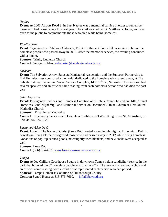#### *Naples*

**Event:** At 2001 Airport Road S. in East Naples was a memorial service in order to remember those who had passed away this past year. The vigil was held at St. Matthew's House, and was open to the public to commemorate those who died while being homeless.

#### *Pinellas Park*

**Event:** Organized by Celebrate Outreach, Trinity Lutheran Church held a service to honor the homeless people who passed away in 2012. After the memorial service, the evening concluded with a dinner.

**Sponsor:** Trinity Lutheran Church **Contact:** George Bolden, webmaster@celebrateoutreach.org

#### *Sarasota*

**Event:** The Salvation Army, Sarasota Ministerial Association and the Suncoast Partnership to End Homelessness sponsored a memorial dedicated to the homeless who passed away, at The Salvation Army Shelter and Social Service Complex,  $1400 \, 10^{th}$  St., Sarasota. The memorial had several speakers and an official name reading from each homeless person who had died the past year.

#### *Saint Augustine*

**Event:** Emergency Services and Homeless Coalition of St Johns County hosted our 14th Annual Homeless Candlelight Vigil and Memorial Service on December 20th at 5:30pm at First United Methodist Church.

**Sponsor:** First United Methodist

**Contact:** Emergency Services and Homeless Coalition 523 West King Street St. Augustine, FL 32084; 904-824-6623

#### *Suwannee (Live Oak)*

**Event:** Love In The Name of Christ (Love INC) hosted a candlelight vigil at Millennium Park in downtown Live Oak that recognized those who had passed away in 2012 while being homeless. Donations of pop-top canned goods, new/slightly used blankets, and new socks were accepted as well.

**Sponsor:** Love INC **Contact:** (386) 364-4673 www.loveinc-suwanneecounty.org

#### *Tampa*

**Event:** At Joe Chillura Courthouse Square in downtown Tampa held a candlelight service in the park that honored the 67 homeless people who died in 2012. The ceremony featured a choir and an official name reading, with a candle that represented each person who had passed. **Sponsor:** Tampa Homeless Coalition of Hillsborough County **Contact:** Synod House at 813-876-7660, info@fbsynod.org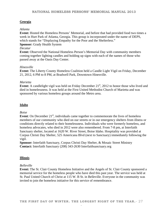#### **Georgia**

#### *Atlanta*

**Event:** Hosted the Homeless Persons' Memorial, and before that had provided food two times a week in Hurt Park of Atlanta, Georgia. This group is incorporated under the name of DEPS, which stands for "Displaying Empathy for the Poor and the Shelterless."

#### **Sponsor:** Grady Health System

#### *Decatur*

**Event:** Observed the National Homeless Person's Memorial Day with community members coming together lighting candles and holding up signs with each of the names of those who passed away at the Oasis Day Center.

#### *Hinesville*

**Event:** The Liberty County Homeless Coalition held a Candle Light Vigil on Friday, December 21, 2012, 6 PM to 8 PM, at Bradwell Park, Downtown Hinesville.

#### *Marietta*

**Event:** A candlelight vigil was held on Friday December 21<sup>st</sup>, 2012 to honor those who lived and died in homelessness. It was held at the First United Methodist Church of Marietta and was sponsored by various homeless groups around the Metro area.

#### **Idaho**

#### *Boise*

**Event**: On December  $21<sup>st</sup>$ , individuals came together to commemorate the lives of homeless members of our community who died on our streets or in our emergency shelters from illness or conditions directly related to their homelessness. Individuals who were formerly homeless, and homeless advocates, who died in 2012 were also remembered. From 7-8 pm, at Interfaith Sanctuary shelter, located at 1620 W. River Street, Boise Idaho. Hospitality was provided at Corpus Christi Day Shelter, 525 Americana Blvd (next to Sanctuary) immediately following the vigil.

**Sponsor:** Interfaith Sanctuary, Corpus Christi Day Shelter, & Mosaic Street Ministry **Contact:** Interfaith Sanctuary (208) 343-2630 Interfaithsanctuary.org

#### **Illinois**

#### *Belleville*

**Event:** The St. Clair County Homeless Initiative and the Angels of St. Clair County sponsored a memorial service for the homeless people who have died this past year. The service was held at St. Paul United Church of Christ at 115 W. B St. in Belleville. Everyone in the community was invited to join the homeless initiative for this service of remembrance.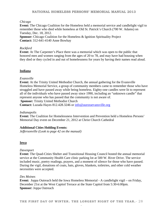#### *Chicago*

**Event:** The Chicago Coalition for the Homeless held a memorial service and candlelight vigil to remember those who died while homeless at Old St. Patrick's Church (700 W. Adams) on Tuesday, Dec. 18, 2012.

**Sponsor:** Chicago Coalition for the Homeless & Ignition Spirituality Project **Contact:** 312-641-4140 Anne Bowhay

#### *Rockford*

**Event:** At The Carpenter's Place there was a memorial which was open to the public that honored men and women ranging from the ages of 20 to 78, and may have had housing when they died or they cycled in and out of homelessness for years by having their names read aloud.

#### **Indiana**

#### *Evansville*

**Event:** At the Trinity United Methodist Church, the annual gathering for the Evansville Homeless Memorial Service, a group of community members came to remember those who have struggled and have passed away while being homeless. Eighty-one candles were lit to represent all of the individuals who have passed away since 1990, including an "unknown candle" that represent anyone who has passed that the community is not aware of.

**Sponsor:** Trinity United Methodist Church

**Contact:** Luzada Hayes 812.428.3246 or info@auroraevansville.org

#### *Indianapolis*

**Event:** The Coalition for Homelessness Intervention and Prevention held a Homeless Persons' Memorial Day event on December 21, 2012 at Christ Church Cathedral

#### **Additional Cities Holding Events:**

*Jeffersonville (Look to page 42 on the manual)* 

#### **Iowa**

#### *Davenport*

**Event:** The Quad-Cities Shelter and Transitional Housing Council hosted the annual memorial service at the Community Health Care clinic parking lot at 500 W. River Drive. The service included music, poetry readings, prayers, and a moment of silence for those who have passed. During the vigil, donations of coats, hats, gloves, blankets, toiletries, and other cold weather necessities were accepted.

#### *Des Moines*

**Event:** Joppa Outreach held the Iowa Homeless Memorial - A candlelight vigil – on Friday, December 21st at the West Capitol Terrace at the State Capitol from 5:30-6:00pm. **Sponsor:** Joppa Outreach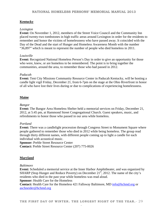#### **Kentucky**

#### *Lexington*

**Event:** On November 1, 2012, members of the Street Voice Council and the Community Inn placed twenty-two tombstones in high traffic areas around Lexington in order for the residents to remember and honor the victims of homelessness who have passed away. It coincided with the Day of the Dead and the start of Hunger and Homeless Awareness Month with the number "36,897" which is meant to represent the number of people who died homeless in 2011.

#### *Louisville*

**Event:** Recognized National Homeless Person's Day in order to give an opportunity for those who were, knew, or are homeless to be remembered. The point is to bring together the communities, around the area, to remember those who had passed in 2012.

#### *Paducah*

**Event:** Tent City Missions Community Resource Center in Paducah Kentucky, will be hosting a candle light vigil Friday, December 21, from 6-7pm on the stage at the Ohio Riverfront in honor of all who have lost their lives during or due to complications of experiencing homelessness.

#### **Maine**

#### *Bangor*

**Event:** The Bangor Area Homeless Shelter held a memorial services on Friday, December 21, 2012, at 5:45 pm, at Hammond Street Congregational Church. Guest speakers, music, and refreshments to honor those who passed in our area while homeless.

#### *Portland*

**Event:** There was a candlelight procession through Congress Street to Monument Square where people gathered to remember those who died in 2012 while being homeless. The group read through thirty different names, with different people coming up to light a candle for each individual with acoustical music.

**Sponsor: Preble Street Resource Center** 

**Contact:** Preble Street Resource Center (207) 775-0026

#### **Maryland**

#### *Baltimore*

**Event***:* Scheduled a memorial service at the Inner Harbor Amphitheater, and was organized by SHARP (Stop Hunger and Reduce Poverty) on December  $21<sup>st</sup>$ , 2012. The name of the city's residents who died in the past year while homeless was read aloud. **Sponsor:** Health Care for the Homeless

**Contact:** Health Care for the Homeless 421 Fallsway Baltimore, MD info@hchmd.org or aschneider@hchmd.org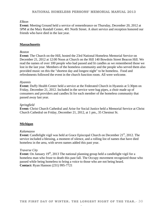#### *Elkton*

**Event:** Meeting Ground held a service of remembrance on Thursday, December 20, 2012 at 5PM at the Mary Randall Center, 401 North Street. A short service and reception honored our friends who have died in the last year.

#### **Massachusetts**

#### *Boston*

**Event:** The Church on the Hill, hosted the 23rd National Homeless Memorial Service on December 21, 2012 at 12:00 Noon at Church on the Hill 140 Bowdoin Street Beacon Hill. We read the names of over 100 people who had passed and lit candles as we remembered those we lost in the last year. Members of the homeless community and the people who served them also provided music on this the "shortest day and longest night" to be homeless. Food and refreshments followed the event in the church function room. All were welcome.

#### *Hyannis*

**Event:** Duffy Health Center held a service at the Federated Church in Hyannis at 5:30pm on Friday, December 21, 2012. Included in the service were bag pipes, a choir made up of consumers and providers and candles lit for each member of the homeless community that passed away last year.

#### *Springfield*

**Event:** Christ Church Cathedral and Arise for Social Justice held a Memorial Service at Christ Church Cathedral on Friday, December 21, 2012, at 1 pm., 35 Chestnut St.

#### **Michigan**

#### *Kalamazoo*

**Event:** Candlelight vigil was held at Grace Episcopal Church on December 21<sup>st</sup>, 2012. The service included a blessing, a moment of silence, and a rolling list of names that have died homeless in the area, with seven names added this past year.

#### *Traverse City*

**Event:** On January 19<sup>th</sup>, 2013 The national planning group held a candlelight vigil for a homeless man who froze to death this past fall. The Occupy movement recognized those who passed while being homeless to bring a voice to those who are not being heard. **Contact:** Ryan Hannon (231) 995-7721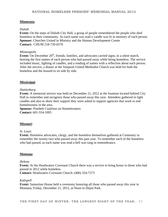#### **Minnesota**

#### *Duluth*

**Event:** On the steps of Duluth City Hall, a group of people remembered the people who died homeless in their community. As each name was read a candle was lit in memory of each person. **Sponsor:** Churches United in Ministry and the Human Development Center **Contact:** CHUM 218-720-6570

#### *Minneapolis*

**Event:** On December 20<sup>th</sup>, friends, families, and advocates carried signs, in a silent march, bearing the first names of each person who had passed away while being homeless. The service included music, lighting of candles, and a reading of names with a reflection about each person. After the service, a dinner at the Simpson United Methodist Church was held for both the homeless and the housed to sit side by side.

#### **Mississippi**

#### *Hattiesburg*

**Event:** A memorial service was held on December 21, 2012 at the fountain located behind City Hall to remember and recognize those who passed away this year. Attendees gathered to light candles and also to show their support they were asked to support agencies that work to end homelessness in the area.

**Sponsor:** Pinebelt Coalition on Homelessness **Contact:** 601-554-1005

#### **Missouri**

#### *St. Louis*

**Event:** Homeless advocates, clergy, and the homeless themselves gathered at Centenary to remember the twenty-two who passed away this past year. To remember each of the homeless who had passed, as each name was read a bell was rung in remembrance.

#### **Montana**

#### *Helena*

**Event:** At the Headwaters Covenant Church there was a service to bring honor to those who had passed in 2012 while homeless.

**Contact:** Headwaters Covenant Church: (406) 324-7273

#### *Kalispell*

**Event:** Samaritan House held a ceremony honoring all those who passed away this year in Montana, Friday, December 21, 2012, at Noon in Depot Park.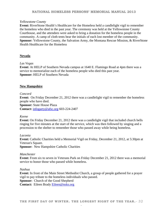#### **NATIONAL HOMELESS PERSONS' MEMORIAL MANUAL 2013**

#### *Yellowstone County*

**Event:** RiverStone Health's Healthcare for the Homeless held a candlelight vigil to remember the homeless who died in the past year. The ceremony was held at the Yellowstone County Courthouse, and the attendees were asked to bring a donation for the homeless people in the community. A camp of cloth tents bear the initials of each lost member of the community. **Sponsor:** Yellowstone County, the Salvation Army, the Montana Rescue Mission, & RiverStone Health Healthcare for the Homeless

#### **Nevada**

#### *Las Vegas*

**Event:** At HELP of Southern Nevada campus at 1640 E. Flamingo Road at 4pm there was a service to memorialize each of the homeless people who died this past year. **Sponsor:** HELP of Southern Nevada

#### **New Hampshire**

#### *Concord*

**Event:** On Friday December 21, 2012 there was a candlelight vigil to remember the homeless people who have died.

**Sponsor:** State House Plaza **Contact:** infogarty@afsc.org 603-224-2407

#### *Keene*

**Event:** On Friday December 21, 2012 there was a candlelight vigil that included church bells ringing for five minutes at the start of the service, which was then followed by singing and a procession to the shelter to remember those who passed away while being homeless.

#### *Laconia*

**Event:** Catholic Charities held a Memorial Vigil on Friday, December 21, 2012, at 5:30pm at Veteran's Square. **Sponsor:** New Hampshire Catholic Charities

#### *Manchester*

**Event:** From six to seven in Veterans Park on Friday December 21, 2012 there was a memorial service to honor those who passed while homeless.

#### *Nashua*

**Event:** In front of the Main Street Methodist Church, a group of people gathered for a prayer vigil to pay tribute to the homeless individuals who passed. **Sponsor:** Church of the Good Shepherd **Contact:** Eileen Brady Eileen@nsks.org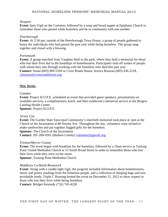#### *Newport*

**Event:** 6pm Vigil on the Common, followed by a soup and bread supper at Epiphany Church to remember those who passed while homeless and be in community with one another.

#### *Peterborough*

**Event:** At 5:30 pm, outside of the Peterborough Town House, a group of people gathered to honor the individuals who had passed the past year while being homeless. The group sang together and closed with a blessing.

#### *Portsmouth*

**Event:** A group marched from Vaughan Mall to the park, where they held a memorial for those who lost their lives due to the hardships of homelessness. Participants read off names of people with whom they met through working with the homeless who died this past year. **Contact:** Susan (603) 969-5318 or Cross Roads House, Jessica Brazeau (603) 436-2218, j.brazeau@crossroadshouse.org

#### **New Jersey**

#### *Camden*

**Event:** Project H.O.P.E. scheduled an event that provided guest speakers, presentations on available services, a complimentary lunch, and then conducted a memorial service at the Bergen-Lanning Health Center.

**Sponsor:** Project H.O.P.E

#### *Jersey City*

**Event:** The Garden State Episcopal Community's interfaith memorial took place at 1pm at the Church of the Incarnation at 68 Storms Ave. Throughout the day, volunteers were invited to make sandwiches and put together bagged gifts for the homeless. **Sponsor:** The Church of the Incarnation **Contact:** 201-209-9301 (Hudson County) volunteer@gsecdc.org

#### *Trenton/Mercer County*

**Event:** The event began with breakfast for the homeless, followed by a 10am service at Turning Point United Methodist Church at 15 South Broad Street in order to remember those who lost their lives while they were on the street. **Sponsor:** Turning Point Methodist Church

#### *Middlesex Co/North Brunswick*

**Event:** Along with a candle-light vigil, the program included information about homelessness, music and poetry readings from the homeless people, and a collection of sleeping bags and nonperishable foods. Triple C Housing hosted the event on December 21, 2012 to show respect to those who lost their lives while being homeless. **Contact:** Bridget Kennedy (732) 745-4228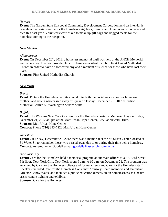#### **NATIONAL HOMELESS PERSONS' MEMORIAL MANUAL 2013**

#### *Newark*

**Event:** The Garden State Episcopal Community Development Corporation held an inter-faith homeless memorial service for the homeless neighbors, friends, and loved ones of homeless who died this past year. Volunteers were asked to make up gift bags and bagged meals for the homeless coming to the reception.

#### **New Mexico**

#### *Albuquerque*

**Event:** On December 20<sup>th</sup>, 2012, a homeless memorial vigil was held at the AHCH Memorial wall where Joy Junction provided lunch. There was a silent march to First United Methodist Church in order to have a short ceremony and a moment of silence for those who have lost their lives.

**Sponsor:** First United Methodist Church**.** 

#### **New York**

#### *Bronx*

**Event:** Picture the Homeless held its annual interfaith memorial service for our homeless brothers and sisters who passed away this year on Friday, December 21, 2012 at Judson Memorial Church 55 Washington Square South.

#### *Buffalo*

**Event:** The Western New York Coalition for the Homeless hosted a Memorial Day on Friday, December 21, 2012 at 3pm at the Matt Urban Hope Center, 385 Paderewski Drive. **Sponsor:** Matt Urban Hope Center **Contact:** Phone (716) 893-7222 Matt Urban Hope Center

#### *Jamestown*

**Event:** On Friday, December 21, 2012 there was a memorial at the St. Susan Center located at 31 Water St. to remember those who passed away due to or during their time being homeless. **Contact:** Assemblyman Goodell e-mail goodella@assembly.state.ny.us

#### *New York City*

**Event:** Care for the Homeless held a memorial program at our main offices at 30 E. 33rd Street, 5th floor, New York City, New York, from 9 a.m. to 10 a.m. on December 21. The program was arranged by Care for the Homeless clients and former clients and Care for the Homeless staff. Speakers included Care for the Homeless Consumer Advisory Board members and Executive Director Bobby Watts, and included a public education dimension on homelessness as a health crisis, candle lighting and exhibits.

**Sponsor:** Care for the Homeless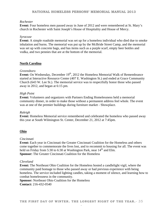#### *Rochester*

**Event:** Four homeless men passed away in June of 2012 and were remembered at St. Mary's church in Rochester with Saint Joseph's House of Hospitality and House of Mercy.

#### *Syracuse*

**Event:** A simple roadside memorial was set up for a homeless individual who died due to smoke inhalation and burns. The memorial was put up by the McBride Street Camp, and the memorial was set up with concrete bags, and has items such as a purple scarf, empty beer bottles and vodka, and two pennies that are at the bottom of the memorial.

#### **North Carolina**

#### *Greensboro*

**Event:** On Wednesday, December 19<sup>th</sup>, 2012 the Homeless Memorial Walk of Remembrance started at Interactive Resource Center (407 E. Washington St.) and ended at Grace Community Church (643 W. Lee St.). The memorial service was to respectfully honor those who passed away in 2012, and began at 6:15 pm.

#### *High Point*

**Event:** Volunteers and organizers with Partners Ending Homelessness held a memorial community dinner, in order to make those without a permanent address feel whole. The event was at one of the premier buildings during furniture market - Showplace.

#### *Raleigh*

**Event:** Homeless Memorial service remembered and celebrated the homeless who passed away this year at South Wilmington St. Center, December 21, 2012 at 7:45pm.

#### **Ohio**

#### *Cincinnati*

**Event:** Each year in Cincinnati the Greater Cincinnati Coalition for the Homeless and others come together to commemorate the lives lost, and to recommit to housing for all. The event was held on Friday from 5:30 to 6:30 at Washington Park, near  $14<sup>th</sup>$  and Elm. **Sponsor:** The Greater Cincinnati Coalition for the Homeless

#### *Cleveland*

**Event:** The Northeast Ohio Coalition for the Homeless hosted a candlelight vigil, where the community paid homage to those who passed away or had previous experience with being homeless. The service included lighting candles, taking a moment of silence, and learning how to combat homelessness in the community.

**Sponsor:** Northeast Ohio Coalition for the Homeless

**Contact:** 216-432-0540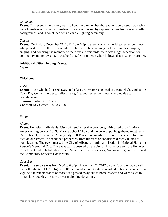#### *Columbus*

**Event:** This event is held every year to honor and remember those who have passed away who were homeless or formerly homeless. The evening is run by representatives from various faith backgrounds, and is concluded with a candle lighting ceremony.

#### *Toledo*

**Event:** On Friday, December 21, 2012 from 7-8pm, there was a memorial to remember those who passed away in the last year while unhoused. The ceremony included candles, prayers, singing, and honoring the memory of their lives. Afterwards, there was a light reception for community and fellowship. It was held at Salem Lutheran Church, located at 1127 N. Huron St.

#### **Additional Cities Holding Events:**

*Dayton* 

#### **Oklahoma**

#### *Tulsa*

**Event:** Those who had passed away in the last year were recognized at a candlelight vigil at the Tulsa Day Center in order to reflect, recognize, and remember those who died due to homelessness.

**Sponsor:** Tulsa Day Center **Contact:** Day Center 918-583-5588

#### **Oregon**

#### *Albany*

**Event:** Homeless individuals, City staff, social service providers, faith based organizations, American Legion Post 10, St. Mary's School Choir and the general public gathered together on December 21, 2012, at the Albany City Hall Plaza in recognition of three people who lived and died on our streets, in abandoned properties, from illnesses or conditions directly related to homelessness. The event marked the City of Albany's fourth participation in National Homeless Person's Memorial Day. The event was sponsored by the city of Albany, Oregon, the Homeless Enrichment and Rehabilitation Team, Samaritan Health Services, American Legion Post 10 and the Community Services Consortium.

#### *Coos Bay*

**Event:** The service was from 5:30 to 6:30pm December 21, 2012 on the Coos Bay Boardwalk under the shelter of U.S. Highway 101 and Anderson. Guests were asked to bring a candle for a vigil held in remembrance of those who passed away due to homelessness and were asked to bring either cookies to share or warm clothing donations.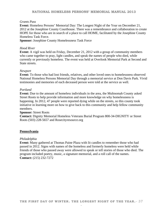#### *Grants Pass*

**Event:** Homeless Persons' Memorial Day: The Longest Night of the Year on December 21, 2012 at the Josephine County Courthouse. There was a remembrance and collaboration to create HOPE for those who are in search of a place to call HOME, facilitated by the Josephine County Homeless Task Force.

**Sponsor:** Josephine County Homelessness Task Force

#### *Hood River*

**Event:** A vigil was held on Friday, December 21, 2012 with a group of community members who came together to pray, light candles, and speak the names of people who died, while currently or previously homeless. The event was held at Overlook Memorial Park at Second and State streets.

#### *Newport*

**Event:** To those who had lost friends, relatives, and other loved ones to homelessness observed National Homeless Persons Memorial Day through a memorial service at Don Davis Park. Vivid testimonies and memories of each deceased person were told at the service as well.

#### *Portland*

**Event:** Due to the amount of homeless individuals in the area, the Multnomah County asked Street Roots to help provide information and more knowledge on why homelessness is happening. In 2012, 47 people were reported dying while on the streets, so this county took initiative in learning more on how to give back to this community and help fellow community members.

#### **Sponsor:** Street Roots

**Contact:** Dignity Memorial Homeless Veterans Burial Program 800-34-DIGNITY or Street Roots (503) 228-5657 and Rosecityresource.org

#### **Pennsylvania**

#### *Philadelphia*

**Event:** Many gathered at Thomas Paine Plaza with lit candles to remember those who had passed in 2012. Signs with names of the homeless and formerly homeless were held while friends of those who passed away were allowed to speak or tell stories of those who died. The program included poetry, music, a signature memorial, and a roll call of the names. **Contact:** (215) 232-7272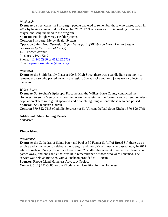#### *Pittsburgh*

**Event:** At a street corner in Pittsburgh, people gathered to remember those who passed away in 2012 by having a memorial on December 21, 2012. There was an official reading of names, prayer, and song included in the program. **Sponsor: Pittsburgh Mercy Health Systems Contact:** Pittsburgh Mercy Health System Operation Safety Net (*Operation Safety Net is part of Pittsburgh Mercy Health System, sponsored by the Sisters of Mercy*) 1518 Forbes Avenue Pittsburgh, PA 15219 Phone: 412.246.2980 or 412.232.5739 Email: operationsafetynet@pmhs.org

#### *Pottstown*

**Event:** At the Smith Family Plaza at 100 E. High Street there was a candle light ceremony to remember those who passed away in the region. Sweat socks and long johns were collected at the event.

#### *Wilkes-Barre*

**Event:** At St. Stephen's Episcopal Procathedral, the Wilkes-Barre County conducted the Homeless Person's Memorial to commemorate the passing of the formerly and current homeless population. There were guest speakers and a candle lighting to honor those who had passed. **Sponsor:** St. Stephen's Church

**Contact:** 570-822-7118 (Catholic Services) or St. Vincent DePaul Soup Kitchen 570-829-7796

#### **Additional Cities Holding Events:**

*Lancaster*

#### **Rhode Island**

#### *Providence*

**Event:** At the Cathedral of Saints Peter and Paul at 30 Fenner St.(off of Broad St.) there was a service and a luncheon to celebrate the strength and the spirit of those who passed away in 2012 while homeless. During the service there were 32 candles that were lit to remember those who passed away, and one candle that was lit in remembrance of those who were unnamed. The service was held at 10:30am, with a luncheon provided at 11:30am. **Sponsor:** Rhode Island Homeless Advocacy Project

**Contact:** (401) 721-5685 for the Rhode Island Coalition for the Homeless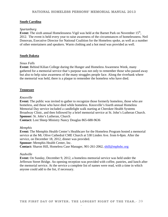#### **South Carolina**

#### *Spartanburg*

**Event:** The sixth annual Homelessness Vigil was held at the Barnet Park on November 15<sup>th</sup>, 2012. The event is held every year to raise awareness of the circumstances of homelessness. Neil Donovan, Executive Director for National Coalition for the Homeless spoke, as well as a number of other entertainers and speakers. Warm clothing and a hot meal was provided as well.

#### **South Dakota**

#### *Sioux Falls*

**Event:** Behind Kilian College during the Hunger and Homeless Awareness Week, many gathered for a memorial service that's purpose was not only to remember those who passed away but also to help raise awareness of the many struggles people face. Along the riverbank where the memorial was held, there is a plaque to remember the homeless who have died.

#### **Tennessee**

#### *Knoxville*

**Event:** The public was invited to gather to recognize those formerly homeless, those who are homeless, and those who have died while homeless. Knoxville's fourth annual Homeless Memorial Day service included a candlelight walk starting at Cherokee Health Systems Broadway Clinic, and then followed by a brief memorial service at St. John's Lutheran Church. **Sponsor:** St. John's Lutheran, Church

**Contact:** Lost Sheep Ministry Nancy Douglas 865-688-9636

#### *Memphis*

**Event:** The Memphis Health Center's Healthcare for the Homeless Program hosted a memorial service at the Mt. Olive Cathedral CME Church at 538 Linden Ave. from 6-8pm. After the service, on December 18, 2012, dinner was provided.

**Sponsor:** Memphis Health Center, Inc.

**Contact:** Sharon Hill, Homeless Case Manager, 901-261-2062, shill@mphshc.org

#### *Nashville*

**Event:** On Sunday, December 9, 2012, a homeless memorial service was held under the Jefferson Street Bridge. An opening reception was provided with coffee, pastries, and lunch after the memorial service. At the service a complete list of names were read, with a time in which anyone could add to the list, if necessary.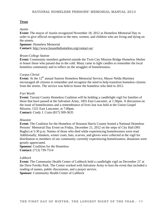#### **Texas**

#### *Austin*

**Event:** The mayor of Austin recognized November 18, 2012 as Homeless Memorial Day in order to give official recognition to the men, women, and children who are living and dying on the streets.

#### **Sponsor:** Homeless Memorial

**Contact:** http://www.housethehomeless.org/contact-us/

#### *Bryan-College Station*

**Event:** Community members gathered outside the Twin City Mission Bridge Homeless Shelter to honor those who passed due to the cold. Many came to light candles to remember the local homeless community and to reflect on the struggles of homelessness.

#### *Corpus Christi*

**Event:** At the 12<sup>th</sup> annual Sunrise Homeless Memorial Service, Mayor Nelda Martinez encouraged all citizens to remember and recognize the need to help transition homeless citizens from the streets. The service was held to honor the homeless who died in 2012.

#### *Fort Worth*

**Event:** Tarrant County Homeless Coalition will be holding a candlelight vigil for families of those that have passed at the Salvation Army, 1855 East Lancaster, at 1:30pm. A discussion on the issue of homelessness and a remembrance of lives lost was held at the Union Gospel Mission, 1321 East Lancaster, at 7:00pm. **Contact:** Cindy J. Crain (817) 509-3635

#### *Houston*

**Event:** The Coalition for the Homeless of Houston Harris County hosted a National Homeless Persons' Memorial Day Event on Friday, December 21, 2012 on the steps of City Hall (901 Bagby) at 5:30 p.m. Names of those who died while experiencing homelessness were read. Additionally, blankets, winter coats, hats, scarves, and gloves were collected at the vigil for distribution to members of our community currently experiencing homelessness; donations were greatly appreciated.

**Sponsor:** Coalition for the Homeless **Contact:** (713) 739-7514

#### *Lubbock*

**Event:** The Community Health Center of Lubbock held a candlelight vigil on December 21<sup>t</sup> at the Dave Freriks Park. The Center worked with Salvation Army to host the event that included a reading of names, public discussions, and a prayer service. **Sponsor:** Community Health Center of Lubbock

**THE FIRST DAY OF WINTER. THE LONGEST NIGHT OF THE YEAR.**- 40 -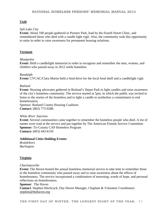#### **Utah**

#### *Salt Lake City*

**Event:** About 100 people gathered in Pioneer Park, lead by the Fourth Street Clinic, and remembered those who died with a candle light vigil. Also, the community took this opportunity to unite in order to raise awareness for permanent housing solutions.

#### **Vermont**

#### *Montpelier*

**Event:** Held a candlelight memorial in order to recognize and remember the men, women, and children who passed away in 2012 while homeless.

#### *Randolph*

**Event:** CVCAC/Clara Martin held a food drive for the local food shelf and a candlelight vigil.

#### *Rutland*

**Event:** Housing advocates gathered in Rutland's Depot Park to light candles and raise awareness of the city's homeless community. The service started at 5pm, in which the public was invited to listen to the stories of the homeless and to light a candle to symbolize a commitment to end homelessness.

Sponsor: Rutland County Housing Coalition **Contact:** (802) 775-9286

#### *White River Junction*

**Event:** Several communities came together to remember the homeless people who died. A list of names were read at the service and put together by The American Friends Service Committee. **Sponsor:** Tri-County CAP Homeless Program **Contact:** (603) 443-6150

#### **Additional Cities Holding Events:**

*Brattleboro Burlington* 

#### **Virginia**

#### *Charlottesville*

**Event:** The Haven hosted the annual homeless memorial service to take time to remember those in the homeless community who passed away and to raise awareness about the effects of homelessness. The service incorporated a combination of mourning, words of hope, and personal reflections on homelessness.

**Sponsor**: The Haven **Contact**: Stephen Hitchcock, Day Haven Manager, Chaplain & Volunteer Coordinator: stephen@thehaven.org

**THE FIRST DAY OF WINTER. THE LONGEST NIGHT OF THE YEAR.**- 41 -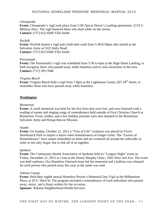#### **NATIONAL HOMELESS PERSONS' MEMORIAL MANUAL 2013**

#### *Chesapeake*

**Event:** Chesapeake's vigil took place from 5:30-7pm at Heron's Landing apartments, 2133 S. Military Hwy. The vigil honored those who died while on the streets. **Contact:** (757) 622-9268 Yilla Smith

#### *Norfolk*

**Event:** Norfolk hosted a vigil and a half-mile walk from 5:30-6:30pm, that started at the Salvation Army at 5525 Raby Road. **Contact:** (757) 622-9268 Yilla Smith

#### *Portsmouth*

**Event:** The Portsmouth's vigil was scheduled from 5:30 to 6pm at the High Street Landing, to both recognize those who passed away while homeless and to raise awareness in the area. **Contact:** (757) 393-7848

#### *Virginia Beach*

**Event:** Virginia Beach held a vigil from 7-8pm at the Lighthouse Center, 825 18<sup>th</sup> Street, to remember those who have passed away while homeless.

#### **Washington**

#### *Bremerton*

**Event:** A small memorial was held for the five lives that were lost, and were honored with a reading of names and singing songs of remembrance held outside of First Christian Church in Bremerton. Food, clothes, and a few holiday presents were also donated to the Bremerton Salvation Army and Kitsap Rescue Mission.

#### *Seattle*

**Event:** On Sunday, October 21, 2012 a "Tree of Life" sculpture was placed in Victor Steinbrueck Park to inspire a future when homelessness no longer exists. The "Leaves of Remembrance" have names embedded on them and are scattered all around the sidewalks in order to not only forget, but to link all of us together.

#### *Spokane*

**Event:** The Community Health Association of Spokane held its "Longest Night" event on Friday, December 21, 2012 at 11am at the Denny Murphy Clinic, 1001 West 2nd Ave. The event was held outdoors. Our Homeless Outreach team led the memorial and a balloon was released for each person who passed away this year as the name was read.

#### *Yakima County*

**Event:** Held their eighth annual Homeless Person's Memorial Day Vigil at the Millennium Plaza, at 20 S. Third St. The program included a remembrance of each individual who passed away, music, and a litany written for the occasion.

**Sponsor: Y**akima Neighborhood Health Services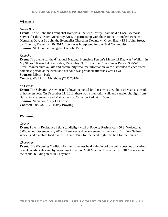#### **Wisconsin**

#### *Green Bay*

**Event:** The St. John the Evangelist Homeless Shelter Ministry Team held a Local Memorial Service for the Greater Green Bay Area, in partnership with the National Homeless Persons' Memorial Day, at St. John the Evangelist Church in Downtown Green Bay, 413 St John Street, on Thursday December 20, 2012. Event was interpreted for the Deaf Community. **Sponsor:** St. John the Evangelist Catholic Parish

#### *Kenosha*

**Event:** The theme for the 6<sup>th</sup> annual National Homeless Person's Memorial Day was "Walkin' in My Shoes." It was held on Friday, December 21, 2012 at the Civic Center Park at 900-57<sup>th</sup> Street. Winter survival kits and community resource information were distributed to each street homeless person at the event and hot soup was provided after the event as well. **Sponsor:** Library Park **Contact:** Walkin' In My Shoes (262) 764-0214

#### *La Crosse*

**Event:** The Salvation Army hosted a local memorial for those who died this past year as a result of homelessness. On December 21, 2012, there was a memorial walk and candlelight vigil from Burns Park at Seventh and Main streets to Cameron Park at 4:15pm. **Sponsor:** Salvation Army La Crosse **Contact:** 608-782-6126 Kathy Bowling

#### **Wyoming**

#### *Casper*

**Event:** Poverty Resistance held a candlelight vigil at Poverty Resistance, 450 S. Wolcott, at 5:00p.m. on December 21, 2012. There was a short statement in memory of Virginia Sellner, snacks, and a mobile food pantry. Theme "Pray for the dead, fight like hell for the living."

#### *Cheyenne*

**Event:** The Wyoming Coalition for the Homeless held a ringing of the bell, speeches by various homeless advocates and by Wyoming Governor Matt Mead on December 21, 2012 at noon on the capital building steps in Cheyenne.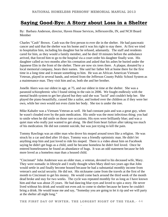### **Saying Good-Bye: A Story about Loss in a Shelter**

By: Barbara Anderson, director, Haven House Services, Jeffersonville, IN, and NCH Board Member

Charles "Cash" Brown. Cash was the first person to ever die in the shelter. He had pancreatic cancer and said that the shelter was his home and it was his right to stay there. At first we tried to hospitalize him, including his daughter but he refused, adamantly. The staff and residents cared for him, as they would a family member, and he died 10 minutes before the ambulance arrived, that forced him to go to the hospital via a court order his daughter finally won. His daughter called us two months after his cremation and asked that his ashes be buried under the Japanese Elm in the front of the shelter. There are now six trees there. A plaque, donated by a local memorial company, bears their names. She said her father felt at home there for the first time in a long time and it meant something to him. He was an African American Vietnam Veteran, played in several bands, and retired from the Jefferson County Public School System as a maintenance man. They visit him and us, both she and her brother.

Jonelle Akers was our oldest in age, at 75, and our oldest in time at the shelter. She was a paranoid schizophrenic who I found sitting in the rain in 2006. We fought endlessly with the mental health system to get her placed but they said she was "lucid" and couldn't help her. She played the piano beautifully, cussed like a sailor, and looked over the children as if they were her own, while her own would not even claim her body. She too is under the tree.

Mike Kahafer was a Vietnam Veteran as well. He had constant pain and was a great guy, when he wasn't clouded over by the pain medication. His smile was the most infectious thing; you had to smile when he did smile on those rare occasions. His eyes were brilliantly blue; and was a quiet man who really just wanted to get along. He died from heart failure after taking too much of his medication. He did not commit suicide, but was just trying to kill the pain.

Tommy Rawlings was an older man who drove his moped around town like a religion. He was struck by a car and died after 10 days. Tommy was a friendly optimistic man. He didn't let anything stop him and just loved to ride his moped. There is a video about him on Facebook saying he didn't get hugs as a child, until he became homeless he didn't feel loved. Once he entered homelessness he found an abundance of hugs. It was an odd statement because he felt more loved as a homeless man than a housed child.

"Cincinnati" John Anderson was an older man, a veteran, devoted to his deceased wife, Mary. They were nomadic in lifestyle and I really thought when Mary died two years ago that John would settle in and finally become housed because he had a substantial monthly income from veteran's and social security. He did not. His nickname came from the travels at the first of the month to Cincinnati to get his money. He would come back around the third week of the month dead broke and stay for two weeks. The cycle was repeated monthly for as long as I have known him and that was about 25 years. He had dancing blue eyes and loved to spin a story. He never lived without his drink and would not even ask to come to shelter because he knew he couldn't bring a drink. He would tease me and say, "Someday you are going to let it rip and we will party at the shelter all night long."